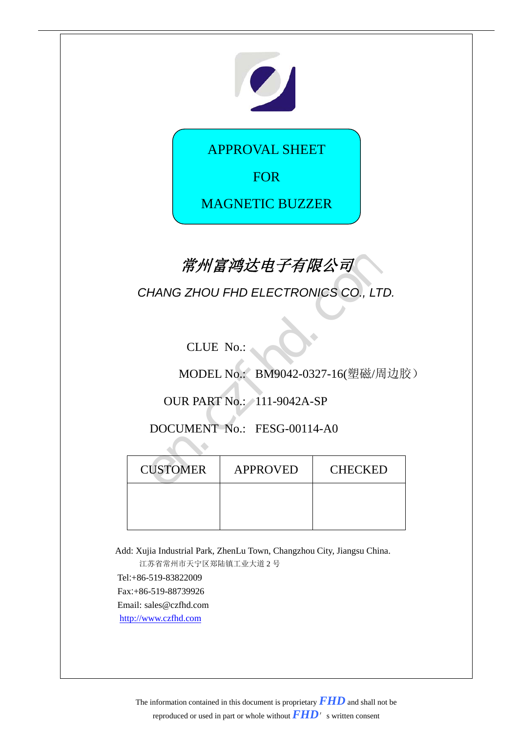

APPROVAL SHEET

FOR

MAGNETIC BUZZER

# **常州富鸿达电子有限公司**

MODEL No.: BM9042-0327-16(塑磁/周边胶)

| 常州富鸿达电子有限公司     |                                      |                                  |  |  |  |  |  |
|-----------------|--------------------------------------|----------------------------------|--|--|--|--|--|
|                 | CHANG ZHOU FHD ELECTRONICS CO., LTD. |                                  |  |  |  |  |  |
|                 |                                      |                                  |  |  |  |  |  |
|                 | <b>CLUE No.:</b>                     |                                  |  |  |  |  |  |
|                 |                                      | MODEL No.: BM9042-0327-16(塑磁/周边胞 |  |  |  |  |  |
|                 | <b>OUR PART No.: 111-9042A-SP</b>    |                                  |  |  |  |  |  |
|                 | DOCUMENT No.: FESG-00114-A0          |                                  |  |  |  |  |  |
|                 |                                      |                                  |  |  |  |  |  |
| <b>CUSTOMER</b> | <b>APPROVED</b>                      | CHECKED                          |  |  |  |  |  |
|                 |                                      |                                  |  |  |  |  |  |
|                 |                                      |                                  |  |  |  |  |  |

Add: Xujia Industrial Park, ZhenLu Town, Changzhou City, Jiangsu China. 江苏省常州市天宁区郑陆镇工业大道 2 号

Tel:+86-519-83822009 Fax:+86-519-88739926 Email: sales@czfhd.com [http://www.czfhd.com](http://www.czfhd.com/)

> The information contained in this document is proprietary *FHD* and shall not be reproduced or used in part or whole without *FHD*'s written consent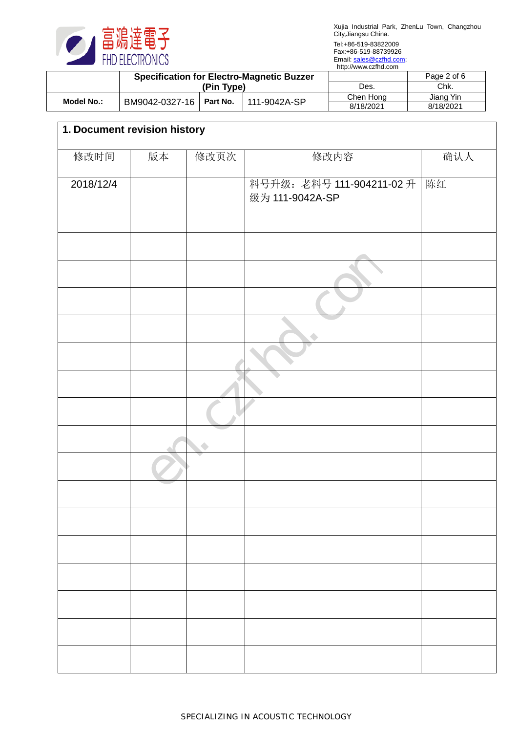

|            | <b>Specification for Electro-Magnetic Buzzer</b> |  |              |           | Page 2 of 6 |
|------------|--------------------------------------------------|--|--------------|-----------|-------------|
|            | (Pin Type)                                       |  | Des.         | Chk.      |             |
| Model No.: |                                                  |  | 111-9042A-SP | Chen Hong | Jiang Yin   |
|            | BM9042-0327-16   Part No.                        |  | 8/18/2021    | 8/18/2021 |             |

| 1. Document revision history |    |      |                                              |     |
|------------------------------|----|------|----------------------------------------------|-----|
| 修改时间                         | 版本 | 修改页次 | 修改内容                                         | 确认人 |
| 2018/12/4                    |    |      | 料号升级: 老料号 111-904211-02 升<br>级为 111-9042A-SP | 陈红  |
|                              |    |      |                                              |     |
|                              |    |      |                                              |     |
|                              |    |      |                                              |     |
|                              |    |      |                                              |     |
|                              |    |      |                                              |     |
|                              |    |      |                                              |     |
|                              |    |      |                                              |     |
|                              |    |      |                                              |     |
|                              |    |      |                                              |     |
|                              |    |      |                                              |     |
|                              |    |      |                                              |     |
|                              |    |      |                                              |     |
|                              |    |      |                                              |     |
|                              |    |      |                                              |     |
|                              |    |      |                                              |     |
|                              |    |      |                                              |     |
|                              |    |      |                                              |     |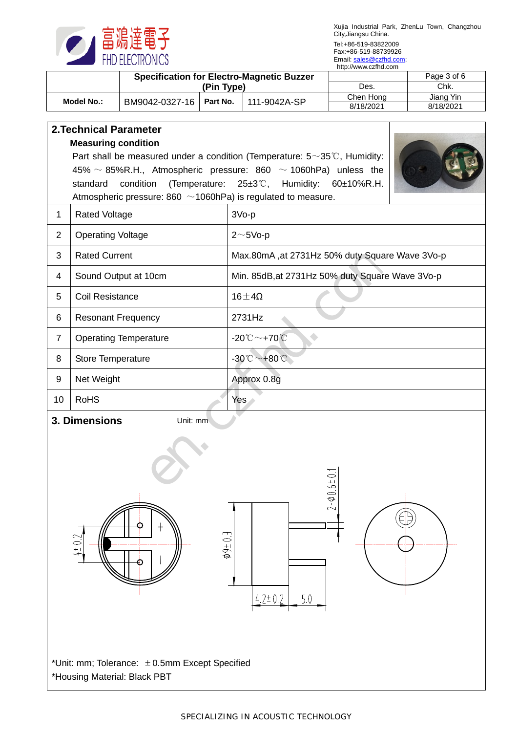

|            | <b>Specification for Electro-Magnetic Buzzer</b><br>(Pin Type) |          |              |           | Page 3 of 6 |
|------------|----------------------------------------------------------------|----------|--------------|-----------|-------------|
|            |                                                                |          |              | Des.      | Chk.        |
| Model No.: | BM9042-0327-16                                                 | Part No. | 111-9042A-SP | Chen Hona | Jiang Yin   |
|            |                                                                |          | 8/18/2021    | 8/18/2021 |             |

|                           | <b>2. Technical Parameter</b>                                                                                                                                                                     |                                                 |  |  |  |  |  |
|---------------------------|---------------------------------------------------------------------------------------------------------------------------------------------------------------------------------------------------|-------------------------------------------------|--|--|--|--|--|
|                           | <b>Measuring condition</b><br>Part shall be measured under a condition (Temperature: $5 \sim 35^{\circ}$ C, Humidity:<br>45% $\sim$ 85%R.H., Atmospheric pressure: 860 $\sim$ 1060hPa) unless the |                                                 |  |  |  |  |  |
|                           | (Temperature: 25±3°C, Humidity: 60±10%R.H.<br>standard<br>condition<br>Atmospheric pressure: 860 $\sim$ 1060hPa) is regulated to measure.                                                         |                                                 |  |  |  |  |  |
| 1                         | <b>Rated Voltage</b>                                                                                                                                                                              | $3Vo-p$                                         |  |  |  |  |  |
| 2                         | <b>Operating Voltage</b>                                                                                                                                                                          | $2 \sim 5$ Vo-p                                 |  |  |  |  |  |
| 3                         | <b>Rated Current</b>                                                                                                                                                                              | Max.80mA, at 2731Hz 50% duty Square Wave 3Vo-p  |  |  |  |  |  |
| 4                         | Sound Output at 10cm                                                                                                                                                                              | Min. 85dB, at 2731Hz 50% duty Square Wave 3Vo-p |  |  |  |  |  |
| 5                         | <b>Coil Resistance</b>                                                                                                                                                                            | $16\pm4\Omega$                                  |  |  |  |  |  |
| 6                         | <b>Resonant Frequency</b>                                                                                                                                                                         | 2731Hz                                          |  |  |  |  |  |
| $\overline{7}$            | <b>Operating Temperature</b>                                                                                                                                                                      | $-20^{\circ}\text{C}\sim+70^{\circ}\text{C}$    |  |  |  |  |  |
| 8                         | Store Temperature                                                                                                                                                                                 | $-30^{\circ}\text{C}\sim+80^{\circ}\text{C}$    |  |  |  |  |  |
| 9                         | Net Weight                                                                                                                                                                                        | Approx 0.8g                                     |  |  |  |  |  |
| 10                        | <b>RoHS</b>                                                                                                                                                                                       | Yes \                                           |  |  |  |  |  |
| 3. Dimensions<br>Unit: mm |                                                                                                                                                                                                   |                                                 |  |  |  |  |  |
|                           | S<br>$+1$<br>$\overline{\phantom{0}}$                                                                                                                                                             |                                                 |  |  |  |  |  |







\*Unit: mm; Tolerance: ±0.5mm Except Specified \*Housing Material: Black PBT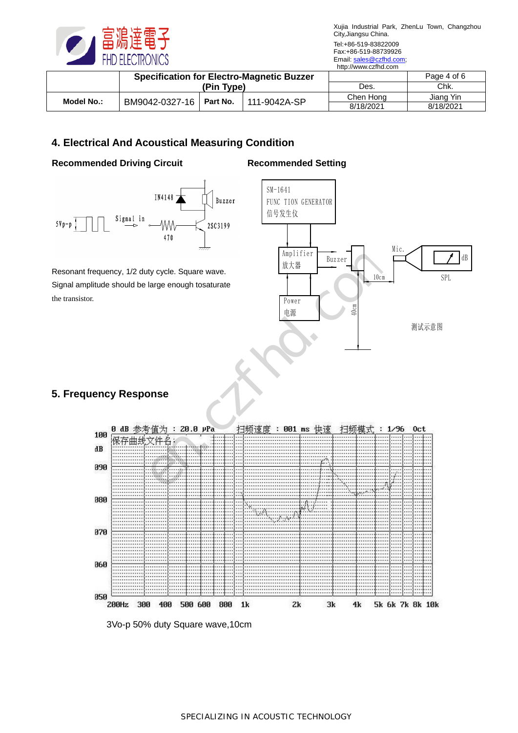

|            | <b>Specification for Electro-Magnetic Buzzer</b><br>(Pin Type) |          |              |           | Page 4 of 6 |
|------------|----------------------------------------------------------------|----------|--------------|-----------|-------------|
|            |                                                                |          |              | Des.      | Chk.        |
| Model No.: | BM9042-0327-16                                                 | Part No. | 111-9042A-SP | Chen Hong | Jiana Yin   |
|            |                                                                |          | 8/18/2021    | 8/18/2021 |             |

# **4. Electrical And Acoustical Measuring Condition**

# **Recommended Driving Circuit**





Resonant frequency, 1/2 duty cycle. Square wave. Signal amplitude should be large enough tosaturate the transistor.



# **5. Frequency Response**



3Vo-p 50% duty Square wave,10cm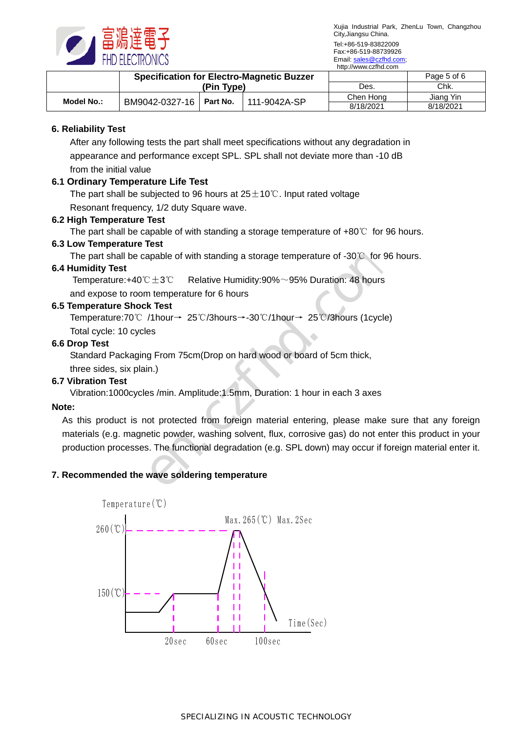

|            | <b>Specification for Electro-Magnetic Buzzer</b><br>(Pin Type) |          |              |           | Page 5 of 6 |
|------------|----------------------------------------------------------------|----------|--------------|-----------|-------------|
|            |                                                                |          |              | Des.      | Chk.        |
| Model No.: | BM9042-0327-16                                                 | Part No. | 111-9042A-SP | Chen Hona | Jiang Yin   |
|            |                                                                |          |              | 8/18/2021 | 8/18/2021   |

## **6. Reliability Test**

After any following tests the part shall meet specifications without any degradation in appearance and performance except SPL. SPL shall not deviate more than -10 dB from the initial value

# **6.1 Ordinary Temperature Life Test**

The part shall be subjected to 96 hours at  $25±10°C$ . Input rated voltage Resonant frequency, 1/2 duty Square wave.

#### **6.2 High Temperature Test**

The part shall be capable of with standing a storage temperature of  $+80^{\circ}$  for 96 hours.

# **6.3 Low Temperature Test**

The part shall be capable of with standing a storage temperature of -30℃ for 96 hours.

#### **6.4 Humidity Test**

Temperature:+40℃±3℃ Relative Humidity:90%~95% Duration: 48 hours and expose to room temperature for 6 hours

#### **6.5 Temperature Shock Test**

Temperature:70℃ /1hour→ 25℃/3hours→-30℃/1hour→ 25℃/3hours (1cycle) Total cycle: 10 cycles

#### **6.6 Drop Test**

Standard Packaging From 75cm(Drop on hard wood or board of 5cm thick,

three sides, six plain.)

## **6.7 Vibration Test**

Vibration:1000cycles /min. Amplitude:1.5mm, Duration: 1 hour in each 3 axes

## **Note:**

As this product is not protected from foreign material entering, please make sure that any foreign materials (e.g. magnetic powder, washing solvent, flux, corrosive gas) do not enter this product in your production processes. The functional degradation (e.g. SPL down) may occur if foreign material enter it. Transference of -30℃ for 96 h<br>
C±3℃ Relative Humidity:90%~95% Duration: 48 hours<br>
Relative Humidity:90%~95% Duration: 48 hours<br>
Rest<br>
Thour→ 25℃/3hours→-30℃/1hour→ 25℃/3hours (1cycle)<br>
Ses<br>
Trom 75cm(Drop on hard wood or

## **7. Recommended the wave soldering temperature**